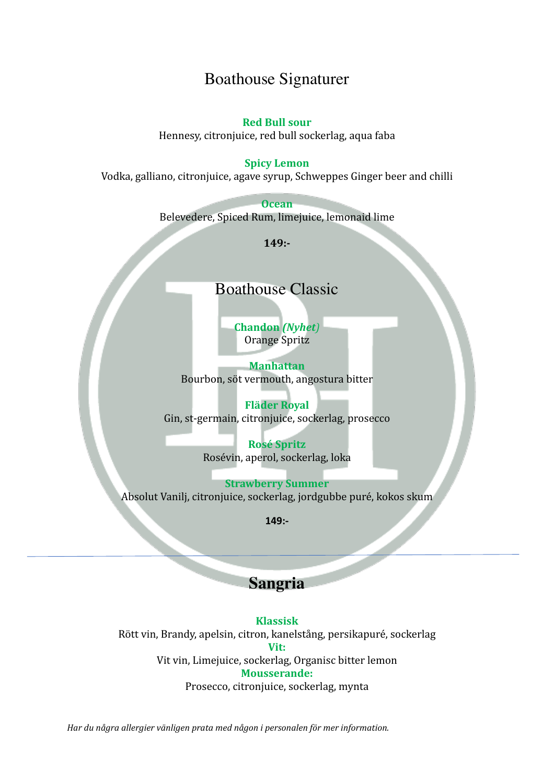### Boathouse Signaturer

#### **Red Bull sour**

Hennesy, citronjuice, red bull sockerlag, aqua faba

#### **Spicy Lemon**

Vodka, galliano, citronjuice, agave syrup, Schweppes Ginger beer and chilli

**Ocean**  Belevedere, Spiced Rum, limejuice, lemonaid lime

**149:-**

### Boathouse Classic

**Chandon** *(Nyhet)* Orange Spritz 

**Manhattan** Bourbon, söt vermouth, angostura bitter

**Fläder Royal** Gin, st-germain, citronjuice, sockerlag, prosecco

> **Rosé Spritz** Rosévin, aperol, sockerlag, loka

**Strawberry Summer** Absolut Vanilj, citronjuice, sockerlag, jordgubbe puré, kokos skum

**149:-**

#### **Sangria**

**Klassisk**  Rött vin, Brandy, apelsin, citron, kanelstång, persikapuré, sockerlag **Vit:** Vit vin, Limejuice, sockerlag, Organisc bitter lemon **Mousserande:** Prosecco, citronjuice, sockerlag, mynta

Har du några allergier vänligen prata med någon i personalen för mer information.